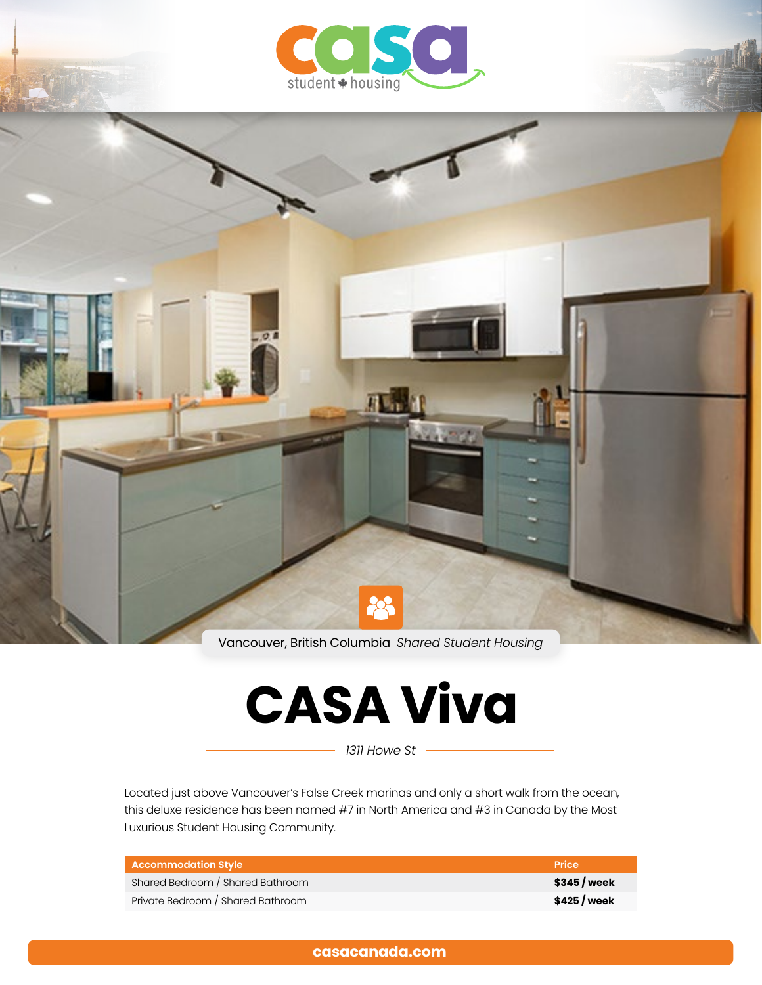



Vancouver, British Columbia *Shared Student Housing*

# **CASA Viva**

*1311 Howe St*

Located just above Vancouver's False Creek marinas and only a short walk from the ocean, this deluxe residence has been named #7 in North America and #3 in Canada by the Most Luxurious Student Housing Community.

| Accommodation Style               | Price        |
|-----------------------------------|--------------|
| Shared Bedroom / Shared Bathroom  | \$345/week   |
| Private Bedroom / Shared Bathroom | \$425 / week |